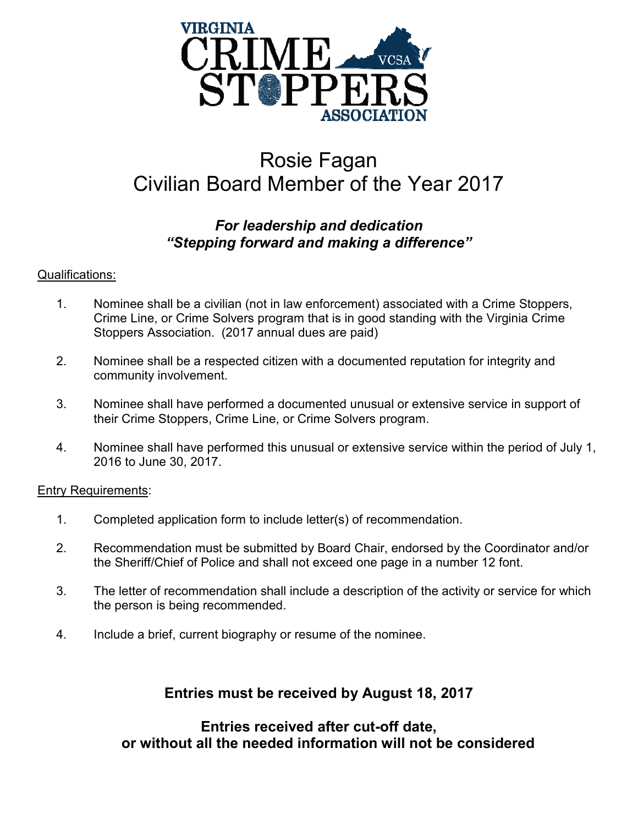

# Rosie Fagan Civilian Board Member of the Year 2017

## *For leadership and dedication "Stepping forward and making a difference"*

#### Qualifications:

- 1. Nominee shall be a civilian (not in law enforcement) associated with a Crime Stoppers, Crime Line, or Crime Solvers program that is in good standing with the Virginia Crime Stoppers Association. (2017 annual dues are paid)
- 2. Nominee shall be a respected citizen with a documented reputation for integrity and community involvement.
- 3. Nominee shall have performed a documented unusual or extensive service in support of their Crime Stoppers, Crime Line, or Crime Solvers program.
- 4. Nominee shall have performed this unusual or extensive service within the period of July 1, 2016 to June 30, 2017.

#### Entry Requirements:

- 1. Completed application form to include letter(s) of recommendation.
- 2. Recommendation must be submitted by Board Chair, endorsed by the Coordinator and/or the Sheriff/Chief of Police and shall not exceed one page in a number 12 font.
- 3. The letter of recommendation shall include a description of the activity or service for which the person is being recommended.
- 4. Include a brief, current biography or resume of the nominee.

# **Entries must be received by August 18, 2017**

### **Entries received after cut-off date, or without all the needed information will not be considered**